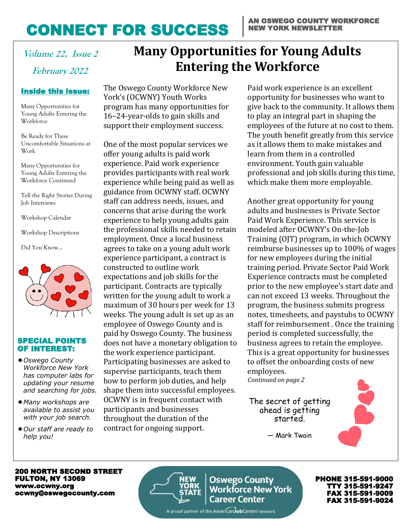# CONNECT FOR SUCCESS

# **February 2022**

### Inside this issue: Inside this issue:

Many Opportunities for Young Adults Entering the Workforce

Be Ready for These Work **in the work** Uncomfortable Situations at

Young Adults Entering the Many Opportunities for Workforce Continued

Job Interviews Tell the Right Stories During

Workshop Calendar

Workshop Descriptions

Did You Know… Did You Know…



#### SPECIAL POINTS OF INTEREST:

- *Oswego County Workforce New York has computer labs for updating your resume and searching for jobs.*
- *Many workshops are available to assist you with your job search.*
- *Our staff are ready to help you!*

# **Volume 22, Issue 2 Many Opportunities for Young Adults Entering the Workforce**

The Oswego County Workforce New York's (OCWNY) Youth Works program has many opportunities for 16–24-year-olds to gain skills and support their employment success.

One of the most popular services we offer young adults is paid work experience. Paid work experience provides participants with real work experience while being paid as well as guidance from OCWNY staff. OCWNY staff can address needs, issues, and concerns that arise during the work experience to help young adults gain the professional skills needed to retain employment. Once a local business agrees to take on a young adult work experience participant, a contract is constructed to outline work expectations and job skills for the participant. Contracts are typically written for the young adult to work a maximum of 30 hours per week for 13 weeks. The young adult is set up as an employee of Oswego County and is paid by Oswego County. The business does not have a monetary obligation to the work experience participant. Participating businesses are asked to supervise participants, teach them how to perform job duties, and help shape them into successful employees. OCWNY is in frequent contact with participants and businesses throughout the duration of the contract for ongoing support.

Paid work experience is an excellent opportunity for businesses who want to give back to the community. It allows them to play an integral part in shaping the employees of the future at no cost to them. The youth benefit greatly from this service as it allows them to make mistakes and learn from them in a controlled environment. Youth gain valuable professional and job skills during this time, which make them more employable.

Another great opportunity for young adults and businesses is Private Sector Paid Work Experience. This service is modeled after OCWNY's On-the-Job Training (OJT) program, in which OCWNY reimburse businesses up to 100% of wages for new employees during the initial training period. Private Sector Paid Work Experience contracts must be completed prior to the new employee's start date and can not exceed 13 weeks. Throughout the program, the business submits progress notes, timesheets, and paystubs to OCWNY staff for reimbursement . Once the training period is completed successfully, the business agrees to retain the employee. This is a great opportunity for businesses to offset the onboarding costs of new employees.

*Continued on page 2*

The secret of getting ahead is getting started.



— Mark Twain

200 NORTH SECOND STREET FULTON, NY 13069 www.ocwny.org ocwny@oswegocounty.com



**Oswego County Workforce New York Career Center** 

PHONE 315-591-9000 TTY 315-591-9247 FAX 315-591-9009 FAX 315-591-9024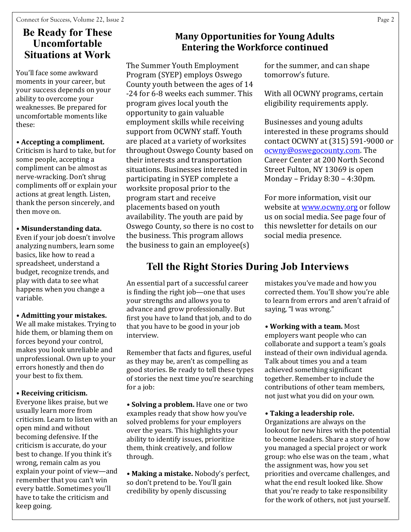### **Be Ready for These Uncomfortable Situations at Work**

You'll face some awkward moments in your career, but your success depends on your ability to overcome your weaknesses. Be prepared for uncomfortable moments like these:

### **• Accepting a compliment.**

Criticism is hard to take, but for some people, accepting a compliment can be almost as nerve-wracking. Don't shrug compliments off or explain your actions at great length. Listen, thank the person sincerely, and then move on.

### **• Misunderstanding data.**

Even if your job doesn't involve analyzing numbers, learn some basics, like how to read a spreadsheet, understand a budget, recognize trends, and play with data to see what happens when you change a variable.

### **• Admitting your mistakes.**

We all make mistakes. Trying to hide them, or blaming them on forces beyond your control, makes you look unreliable and unprofessional. Own up to your errors honestly and then do your best to fix them.

### **• Receiving criticism.**

Everyone likes praise, but we usually learn more from criticism. Learn to listen with an open mind and without becoming defensive. If the criticism is accurate, do your best to change. If you think it's wrong, remain calm as you explain your point of view—and remember that you can't win every battle. Sometimes you'll have to take the criticism and keep going.

### **Many Opportunities for Young Adults Entering the Workforce continued**

The Summer Youth Employment Program (SYEP) employs Oswego County youth between the ages of 14 -24 for 6-8 weeks each summer. This program gives local youth the opportunity to gain valuable employment skills while receiving support from OCWNY staff. Youth are placed at a variety of worksites throughout Oswego County based on their interests and transportation situations. Businesses interested in participating in SYEP complete a worksite proposal prior to the program start and receive placements based on youth availability. The youth are paid by Oswego County, so there is no cost to the business. This program allows the business to gain an employee(s)

### for the summer, and can shape tomorrow's future.

With all OCWNY programs, certain eligibility requirements apply.

Businesses and young adults interested in these programs should contact OCWNY at (315) 591-9000 or [ocwny@oswegocounty.com.](mailto:ocwny@oswegocounty.com) The Career Center at 200 North Second Street Fulton, NY 13069 is open Monday – Friday 8:30 – 4:30pm.

For more information, visit our website at [www.ocwny.org](http://www.ocwny.org) or follow us on social media. See page four of this newsletter for details on our social media presence.

### **Tell the Right Stories During Job Interviews**

An essential part of a successful career is finding the right job—one that uses your strengths and allows you to advance and grow professionally. But first you have to land that job, and to do that you have to be good in your job interview.

Remember that facts and figures, useful as they may be, aren't as compelling as good stories. Be ready to tell these types of stories the next time you're searching for a job:

**• Solving a problem.** Have one or two examples ready that show how you've solved problems for your employers over the years. This highlights your ability to identify issues, prioritize them, think creatively, and follow through.

**• Making a mistake.** Nobody's perfect, so don't pretend to be. You'll gain credibility by openly discussing

mistakes you've made and how you corrected them. You'll show you're able to learn from errors and aren't afraid of saying, "I was wrong."

**• Working with a team.** Most employers want people who can collaborate and support a team's goals instead of their own individual agenda. Talk about times you and a team achieved something significant together. Remember to include the contributions of other team members, not just what you did on your own.

### **• Taking a leadership role.**

Organizations are always on the lookout for new hires with the potential to become leaders. Share a story of how you managed a special project or work group: who else was on the team , what the assignment was, how you set priorities and overcame challenges, and what the end result looked like. Show that you're ready to take responsibility for the work of others, not just yourself.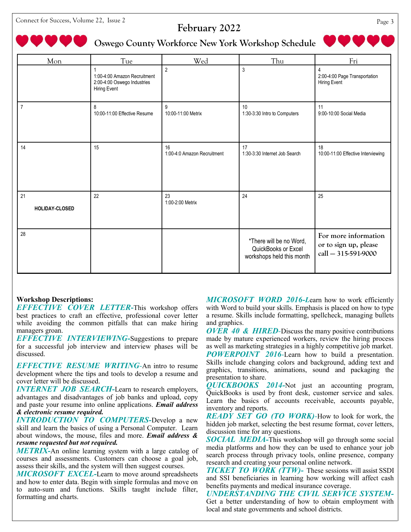Connect for Success, Volume 22, Issue 2 Page 3

### **February 2022**

### **Oswego County Workforce New York Workshop Schedule**

| Mon                  | <b>Tue</b>                                                                         | Wed                               | Thu                                                                         | Fri                                                                  |
|----------------------|------------------------------------------------------------------------------------|-----------------------------------|-----------------------------------------------------------------------------|----------------------------------------------------------------------|
|                      | 1:00-4:00 Amazon Recruitment<br>2:00-4:00 Oswego Industries<br><b>Hiring Event</b> | $\overline{2}$                    | 3                                                                           | 2:00-4:00 Page Transportation<br>Hiring Event                        |
| $\overline{7}$       | 8<br>10:00-11:00 Effective Resume                                                  | 9<br>10:00-11:00 Metrix           | 10<br>1:30-3:30 Intro to Computers                                          | 11<br>9:00-10:00 Social Media                                        |
| 14                   | 15                                                                                 | 16<br>1:00-4:0 Amazon Recruitment | 17<br>1:30-3:30 Internet Job Search                                         | 18<br>10:00-11:00 Effective Interviewing                             |
| 21<br>HOLIDAY-CLOSED | 22                                                                                 | 23<br>1:00-2:00 Metrix            | 24                                                                          | 25                                                                   |
| 28                   |                                                                                    |                                   | *There will be no Word,<br>QuickBooks or Excel<br>workshops held this month | For more information<br>or to sign up, please<br>call - 315-591-9000 |

#### **Workshop Descriptions:**

*EFFECTIVE COVER LETTER***-**This workshop offers best practices to craft an effective, professional cover letter while avoiding the common pitfalls that can make hiring managers groan.

*EFFECTIVE INTERVIEWING-*Suggestions to prepare for a successful job interview and interview phases will be discussed.

*EFFECTIVE RESUME WRITING-*An intro to resume development where the tips and tools to develop a resume and cover letter will be discussed.

*INTERNET JOB SEARCH-Learn to research employers,* advantages and disadvantages of job banks and upload, copy and paste your resume into online applications. *Email address & electronic resume required.*

*INTRODUCTION TO COMPUTERS-*Develop a new skill and learn the basics of using a Personal Computer. Learn about windows, the mouse, files and more. *Email address & resume requested but not required.* 

*METRIX-*An online learning system with a large catalog of courses and assessments. Customers can choose a goal job, assess their skills, and the system will then suggest courses.

*MICROSOFT EXCEL-*Learn to move around spreadsheets and how to enter data. Begin with simple formulas and move on to auto-sum and functions. Skills taught include filter, formatting and charts.

*MICROSOFT WORD 2016-L*earn how to work efficiently with Word to build your skills. Emphasis is placed on how to type a resume. Skills include formatting, spellcheck, managing bullets and graphics.

*OVER 40 & HIRED-*Discuss the many positive contributions made by mature experienced workers, review the hiring process as well as marketing strategies in a highly competitive job market. *POWERPOINT 2016-*Learn how to build a presentation. Skills include changing colors and background, adding text and graphics, transitions, animations, sound and packaging the presentation to share.

*QUICKBOOKS 2014-*Not just an accounting program, QuickBooks is used by front desk, customer service and sales. Learn the basics of accounts receivable, accounts payable, inventory and reports.

*READY SET GO (TO WORK)-*How to look for work, the hidden job market, selecting the best resume format, cover letters, discussion time for any questions.

*SOCIAL MEDIA-*This workshop will go through some social media platforms and how they can be used to enhance your job search process through privacy tools, online presence, company research and creating your personal online network.

*TICKET TO WORK (TTW)-* These sessions will assist SSDI and SSI beneficiaries in learning how working will affect cash benefits payments and medical insurance coverage.

*UNDERSTANDING THE CIVIL SERVICE SYSTEM-*Get a better understanding of how to obtain employment with local and state governments and school districts.